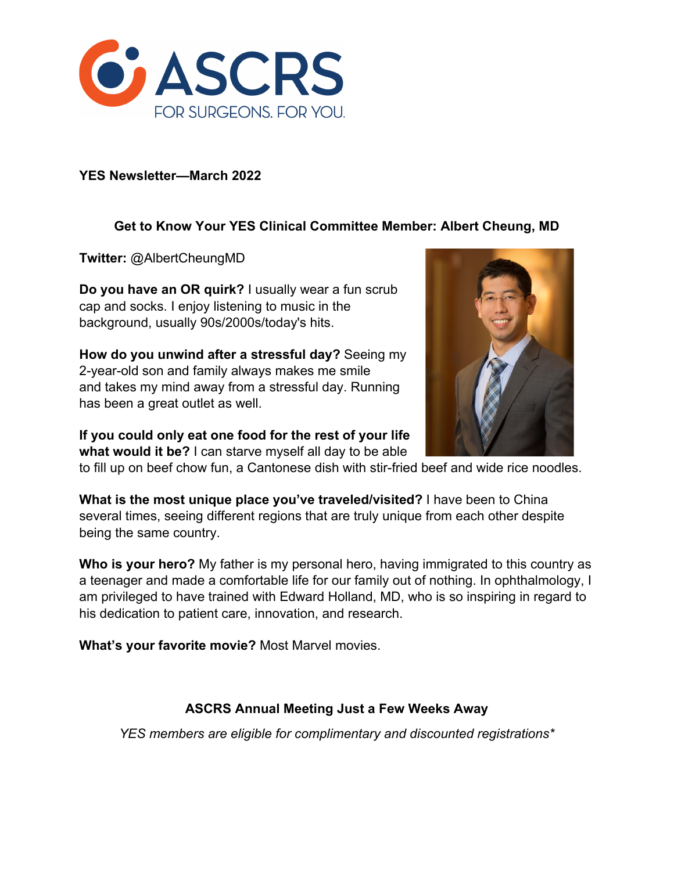

#### **YES Newsletter—March 2022**

# **Get to Know Your YES Clinical Committee Member: Albert Cheung, MD**

**Twitter:** @AlbertCheungMD

**Do you have an OR quirk?** I usually wear a fun scrub cap and socks. I enjoy listening to music in the background, usually 90s/2000s/today's hits.

**How do you unwind after a stressful day?** Seeing my 2-year-old son and family always makes me smile and takes my mind away from a stressful day. Running has been a great outlet as well.

**If you could only eat one food for the rest of your life what would it be?** I can starve myself all day to be able



**What is the most unique place you've traveled/visited?** I have been to China several times, seeing different regions that are truly unique from each other despite being the same country.

**Who is your hero?** My father is my personal hero, having immigrated to this country as a teenager and made a comfortable life for our family out of nothing. In ophthalmology, I am privileged to have trained with Edward Holland, MD, who is so inspiring in regard to his dedication to patient care, innovation, and research.

**What's your favorite movie?** Most Marvel movies.

## **ASCRS Annual Meeting Just a Few Weeks Away**

*YES members are eligible for complimentary and discounted registrations\**

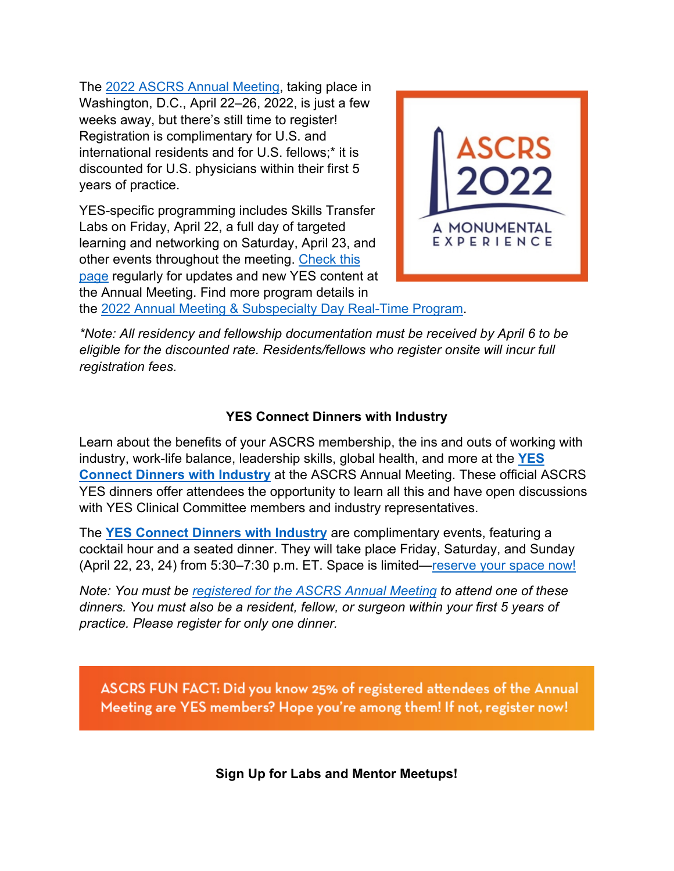The 2022 ASCRS Annual Meeting, taking place in Washington, D.C., April 22–26, 2022, is just a few weeks away, but there's still time to register! Registration is complimentary for U.S. and international residents and for U.S. fellows;\* it is discounted for U.S. physicians within their first 5 years of practice.

YES-specific programming includes Skills Transfer Labs on Friday, April 22, a full day of targeted learning and networking on Saturday, April 23, and other events throughout the meeting. Check this page regularly for updates and new YES content at the Annual Meeting. Find more program details in



the 2022 Annual Meeting & Subspecialty Day Real-Time Program.

*\*Note: All residency and fellowship documentation must be received by April 6 to be eligible for the discounted rate. Residents/fellows who register onsite will incur full registration fees.* 

## **YES Connect Dinners with Industry**

Learn about the benefits of your ASCRS membership, the ins and outs of working with industry, work-life balance, leadership skills, global health, and more at the **YES Connect Dinners with Industry** at the ASCRS Annual Meeting. These official ASCRS YES dinners offer attendees the opportunity to learn all this and have open discussions with YES Clinical Committee members and industry representatives.

The **YES Connect Dinners with Industry** are complimentary events, featuring a cocktail hour and a seated dinner. They will take place Friday, Saturday, and Sunday (April 22, 23, 24) from 5:30–7:30 p.m. ET. Space is limited—reserve your space now!

*Note: You must be registered for the ASCRS Annual Meeting to attend one of these dinners. You must also be a resident, fellow, or surgeon within your first 5 years of practice. Please register for only one dinner.* 

ASCRS FUN FACT: Did you know 25% of registered attendees of the Annual Meeting are YES members? Hope you're among them! If not, register now!

**Sign Up for Labs and Mentor Meetups!**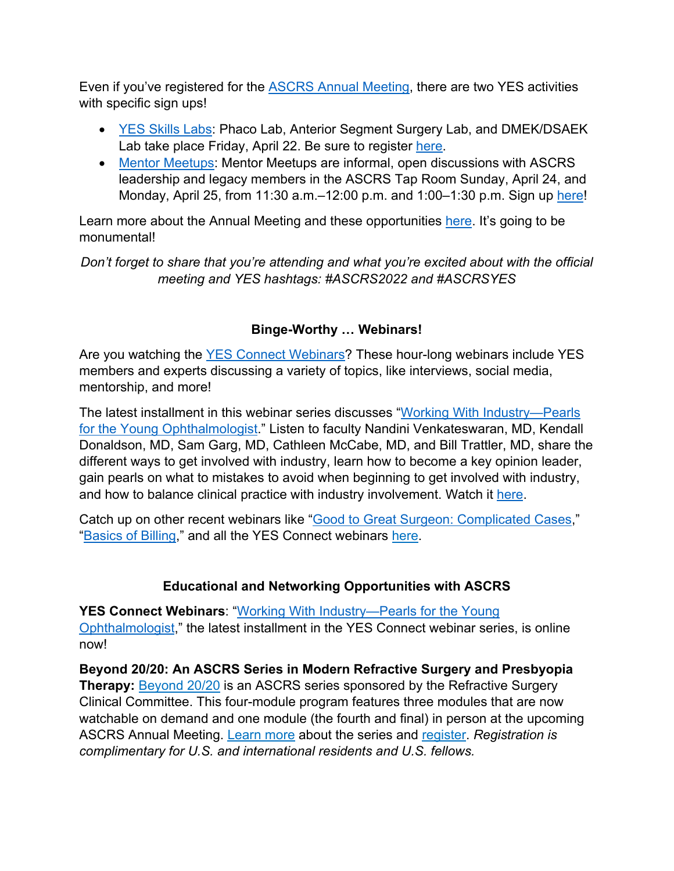Even if you've registered for the ASCRS Annual Meeting, there are two YES activities with specific sign ups!

- YES Skills Labs: Phaco Lab, Anterior Segment Surgery Lab, and DMEK/DSAEK Lab take place Friday, April 22. Be sure to register here.
- Mentor Meetups: Mentor Meetups are informal, open discussions with ASCRS leadership and legacy members in the ASCRS Tap Room Sunday, April 24, and Monday, April 25, from 11:30 a.m.–12:00 p.m. and 1:00–1:30 p.m. Sign up here!

Learn more about the Annual Meeting and these opportunities here. It's going to be monumental!

*Don't forget to share that you're attending and what you're excited about with the official meeting and YES hashtags: #ASCRS2022 and #ASCRSYES*

# **Binge-Worthy … Webinars!**

Are you watching the YES Connect Webinars? These hour-long webinars include YES members and experts discussing a variety of topics, like interviews, social media, mentorship, and more!

The latest installment in this webinar series discusses "Working With Industry—Pearls for the Young Ophthalmologist." Listen to faculty Nandini Venkateswaran, MD, Kendall Donaldson, MD, Sam Garg, MD, Cathleen McCabe, MD, and Bill Trattler, MD, share the different ways to get involved with industry, learn how to become a key opinion leader, gain pearls on what to mistakes to avoid when beginning to get involved with industry, and how to balance clinical practice with industry involvement. Watch it here.

Catch up on other recent webinars like "Good to Great Surgeon: Complicated Cases," "Basics of Billing," and all the YES Connect webinars here.

# **Educational and Networking Opportunities with ASCRS**

**YES Connect Webinars**: "Working With Industry—Pearls for the Young Ophthalmologist," the latest installment in the YES Connect webinar series, is online now!

**Beyond 20/20: An ASCRS Series in Modern Refractive Surgery and Presbyopia Therapy:** Beyond 20/20 is an ASCRS series sponsored by the Refractive Surgery Clinical Committee. This four-module program features three modules that are now watchable on demand and one module (the fourth and final) in person at the upcoming ASCRS Annual Meeting. Learn more about the series and register. *Registration is complimentary for U.S. and international residents and U.S. fellows.*